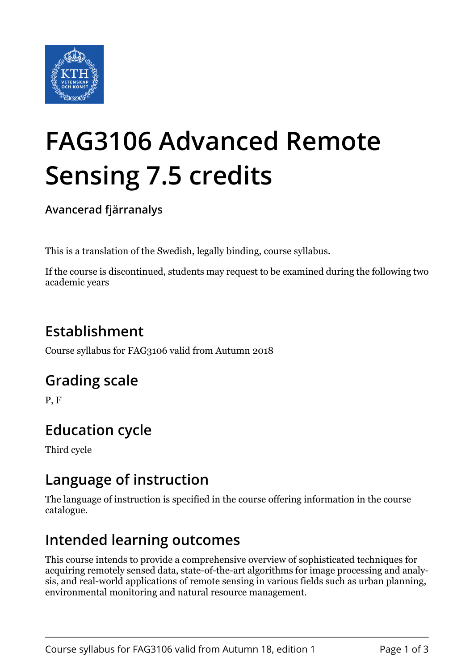

# **FAG3106 Advanced Remote Sensing 7.5 credits**

**Avancerad fjärranalys**

This is a translation of the Swedish, legally binding, course syllabus.

If the course is discontinued, students may request to be examined during the following two academic years

# **Establishment**

Course syllabus for FAG3106 valid from Autumn 2018

## **Grading scale**

P, F

# **Education cycle**

Third cycle

## **Language of instruction**

The language of instruction is specified in the course offering information in the course catalogue.

## **Intended learning outcomes**

This course intends to provide a comprehensive overview of sophisticated techniques for acquiring remotely sensed data, state-of-the-art algorithms for image processing and analysis, and real-world applications of remote sensing in various fields such as urban planning, environmental monitoring and natural resource management.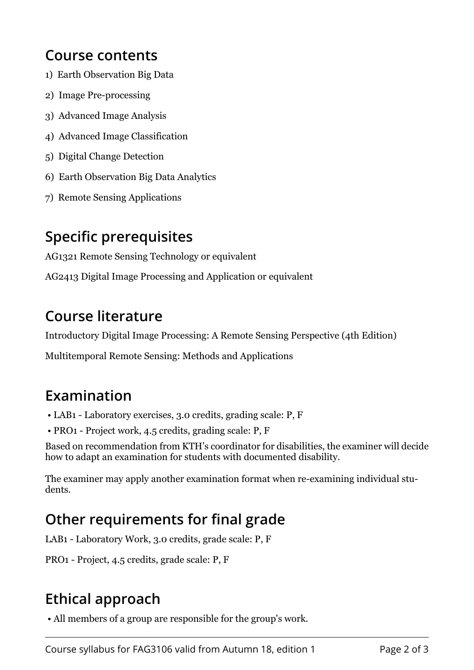#### **Course contents**

- 1) Earth Observation Big Data
- 2) Image Pre-processing
- 3) Advanced Image Analysis
- 4) Advanced Image Classification
- 5) Digital Change Detection
- 6) Earth Observation Big Data Analytics
- 7) Remote Sensing Applications

## **Specific prerequisites**

AG1321 Remote Sensing Technology or equivalent

AG2413 Digital Image Processing and Application or equivalent

#### **Course literature**

Introductory Digital Image Processing: A Remote Sensing Perspective (4th Edition)

Multitemporal Remote Sensing: Methods and Applications

## **Examination**

- LAB1 Laboratory exercises, 3.0 credits, grading scale: P, F
- PRO1 Project work, 4.5 credits, grading scale: P, F

Based on recommendation from KTH's coordinator for disabilities, the examiner will decide how to adapt an examination for students with documented disability.

The examiner may apply another examination format when re-examining individual students.

# **Other requirements for final grade**

LAB1 - Laboratory Work, 3.0 credits, grade scale: P, F

PRO1 - Project, 4.5 credits, grade scale: P, F

# **Ethical approach**

• All members of a group are responsible for the group's work.